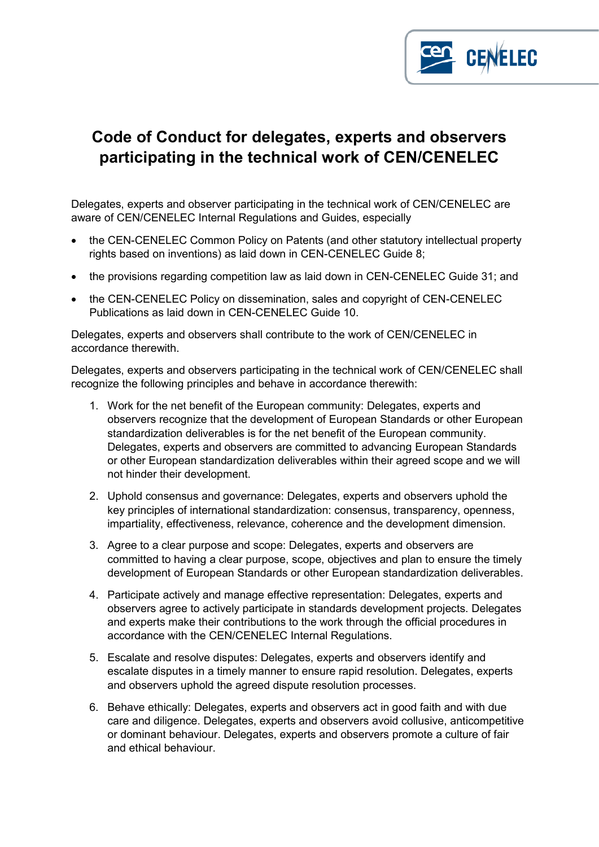

## **Code of Conduct for delegates, experts and observers participating in the technical work of CEN/CENELEC**

Delegates, experts and observer participating in the technical work of CEN/CENELEC are aware of CEN/CENELEC Internal Regulations and Guides, especially

- the CEN-CENELEC Common Policy on Patents (and other statutory intellectual property rights based on inventions) as laid down in CEN-CENELEC Guide 8;
- the provisions regarding competition law as laid down in CEN-CENELEC Guide 31; and
- the CEN-CENELEC Policy on dissemination, sales and copyright of CEN-CENELEC Publications as laid down in CEN-CENELEC Guide 10.

Delegates, experts and observers shall contribute to the work of CEN/CENELEC in accordance therewith.

Delegates, experts and observers participating in the technical work of CEN/CENELEC shall recognize the following principles and behave in accordance therewith:

- 1. Work for the net benefit of the European community: Delegates, experts and observers recognize that the development of European Standards or other European standardization deliverables is for the net benefit of the European community. Delegates, experts and observers are committed to advancing European Standards or other European standardization deliverables within their agreed scope and we will not hinder their development.
- 2. Uphold consensus and governance: Delegates, experts and observers uphold the key principles of international standardization: consensus, transparency, openness, impartiality, effectiveness, relevance, coherence and the development dimension.
- 3. Agree to a clear purpose and scope: Delegates, experts and observers are committed to having a clear purpose, scope, objectives and plan to ensure the timely development of European Standards or other European standardization deliverables.
- 4. Participate actively and manage effective representation: Delegates, experts and observers agree to actively participate in standards development projects. Delegates and experts make their contributions to the work through the official procedures in accordance with the CEN/CENELEC Internal Regulations.
- 5. Escalate and resolve disputes: Delegates, experts and observers identify and escalate disputes in a timely manner to ensure rapid resolution. Delegates, experts and observers uphold the agreed dispute resolution processes.
- 6. Behave ethically: Delegates, experts and observers act in good faith and with due care and diligence. Delegates, experts and observers avoid collusive, anticompetitive or dominant behaviour. Delegates, experts and observers promote a culture of fair and ethical behaviour.